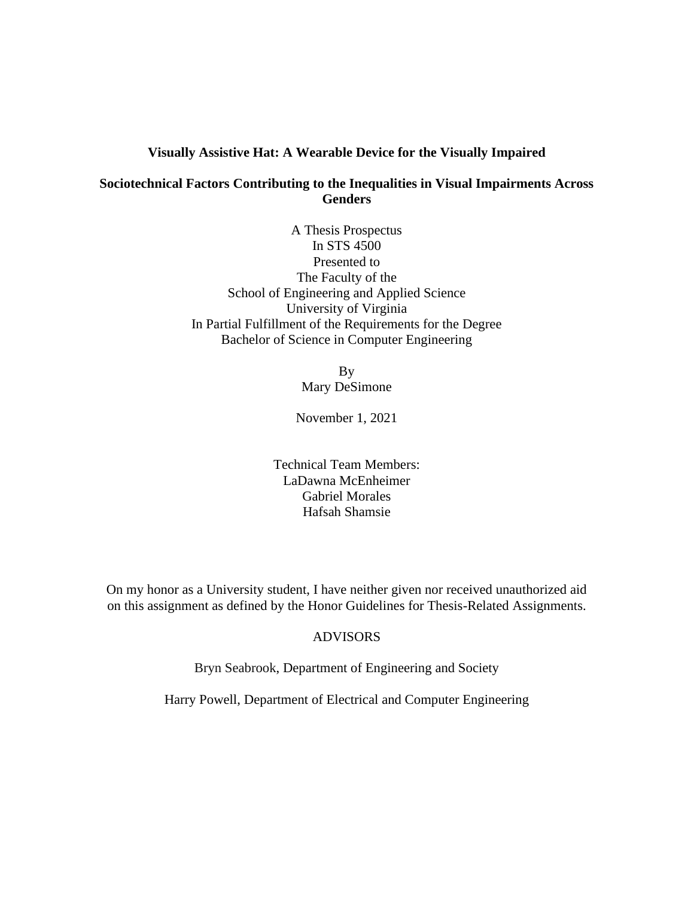### **Visually Assistive Hat: A Wearable Device for the Visually Impaired**

# **Sociotechnical Factors Contributing to the Inequalities in Visual Impairments Across Genders**

A Thesis Prospectus In STS 4500 Presented to The Faculty of the School of Engineering and Applied Science University of Virginia In Partial Fulfillment of the Requirements for the Degree Bachelor of Science in Computer Engineering

> By Mary DeSimone

November 1, 2021

Technical Team Members: LaDawna McEnheimer Gabriel Morales Hafsah Shamsie

On my honor as a University student, I have neither given nor received unauthorized aid on this assignment as defined by the Honor Guidelines for Thesis-Related Assignments.

## ADVISORS

Bryn Seabrook, Department of Engineering and Society

Harry Powell, Department of Electrical and Computer Engineering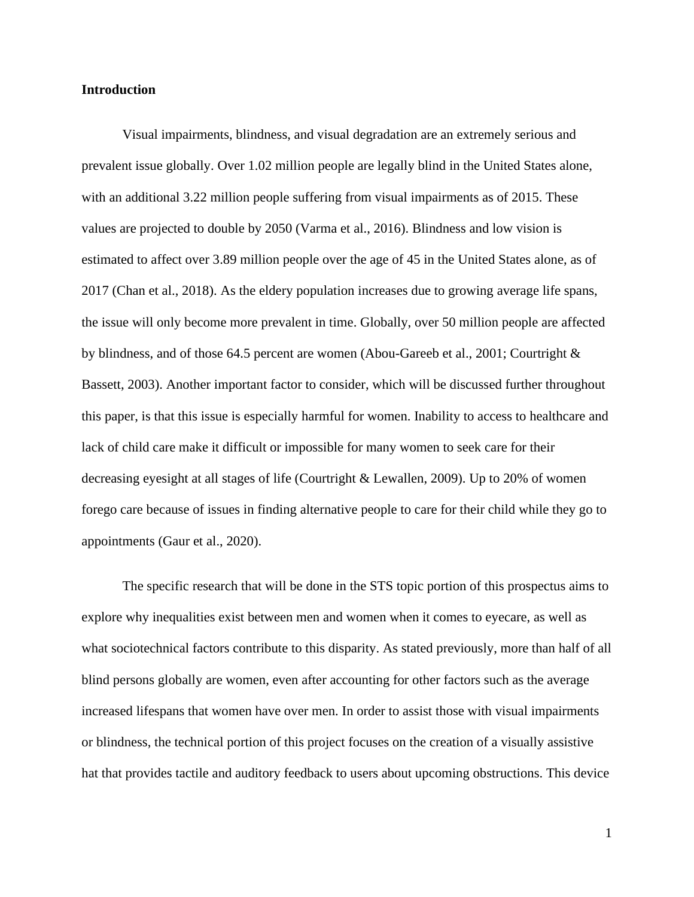### **Introduction**

Visual impairments, blindness, and visual degradation are an extremely serious and prevalent issue globally. Over 1.02 million people are legally blind in the United States alone, with an additional 3.22 million people suffering from visual impairments as of 2015. These values are projected to double by 2050 (Varma et al., 2016). Blindness and low vision is estimated to affect over 3.89 million people over the age of 45 in the United States alone, as of 2017 (Chan et al., 2018). As the eldery population increases due to growing average life spans, the issue will only become more prevalent in time. Globally, over 50 million people are affected by blindness, and of those 64.5 percent are women (Abou-Gareeb et al., 2001; Courtright & Bassett, 2003). Another important factor to consider, which will be discussed further throughout this paper, is that this issue is especially harmful for women. Inability to access to healthcare and lack of child care make it difficult or impossible for many women to seek care for their decreasing eyesight at all stages of life (Courtright & Lewallen, 2009). Up to 20% of women forego care because of issues in finding alternative people to care for their child while they go to appointments (Gaur et al., 2020).

The specific research that will be done in the STS topic portion of this prospectus aims to explore why inequalities exist between men and women when it comes to eyecare, as well as what sociotechnical factors contribute to this disparity. As stated previously, more than half of all blind persons globally are women, even after accounting for other factors such as the average increased lifespans that women have over men. In order to assist those with visual impairments or blindness, the technical portion of this project focuses on the creation of a visually assistive hat that provides tactile and auditory feedback to users about upcoming obstructions. This device

1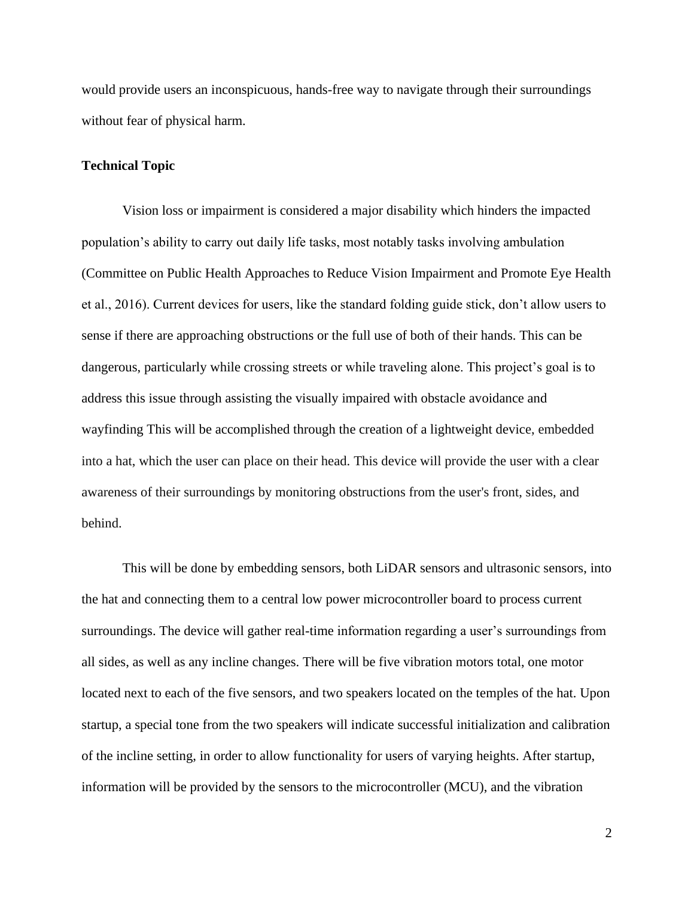would provide users an inconspicuous, hands-free way to navigate through their surroundings without fear of physical harm.

#### **Technical Topic**

Vision loss or impairment is considered a major disability which hinders the impacted population's ability to carry out daily life tasks, most notably tasks involving ambulation (Committee on Public Health Approaches to Reduce Vision Impairment and Promote Eye Health et al., 2016). Current devices for users, like the standard folding guide stick, don't allow users to sense if there are approaching obstructions or the full use of both of their hands. This can be dangerous, particularly while crossing streets or while traveling alone. This project's goal is to address this issue through assisting the visually impaired with obstacle avoidance and wayfinding This will be accomplished through the creation of a lightweight device, embedded into a hat, which the user can place on their head. This device will provide the user with a clear awareness of their surroundings by monitoring obstructions from the user's front, sides, and behind.

This will be done by embedding sensors, both LiDAR sensors and ultrasonic sensors, into the hat and connecting them to a central low power microcontroller board to process current surroundings. The device will gather real-time information regarding a user's surroundings from all sides, as well as any incline changes. There will be five vibration motors total, one motor located next to each of the five sensors, and two speakers located on the temples of the hat. Upon startup, a special tone from the two speakers will indicate successful initialization and calibration of the incline setting, in order to allow functionality for users of varying heights. After startup, information will be provided by the sensors to the microcontroller (MCU), and the vibration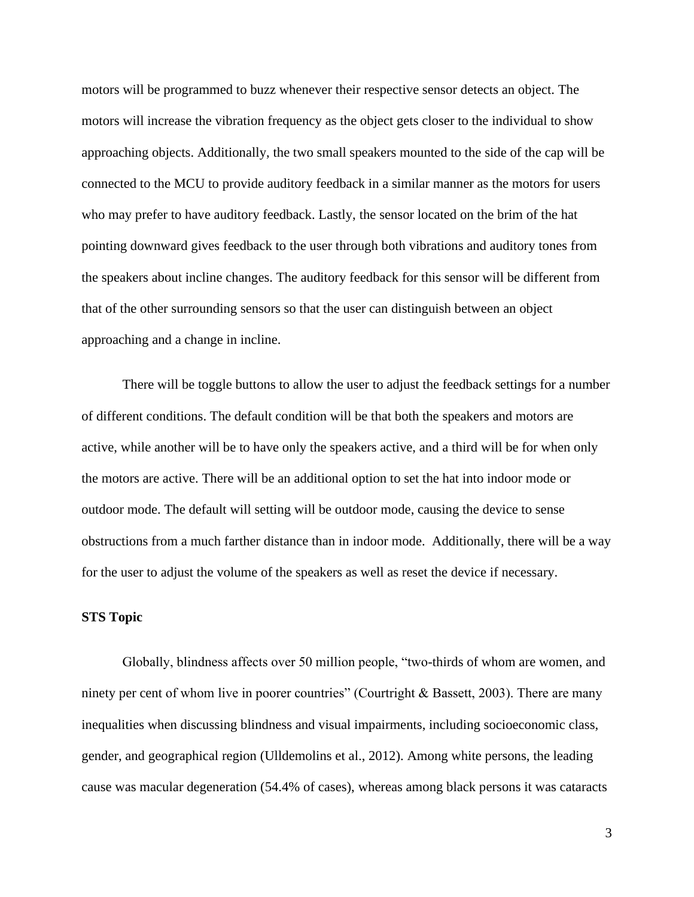motors will be programmed to buzz whenever their respective sensor detects an object. The motors will increase the vibration frequency as the object gets closer to the individual to show approaching objects. Additionally, the two small speakers mounted to the side of the cap will be connected to the MCU to provide auditory feedback in a similar manner as the motors for users who may prefer to have auditory feedback. Lastly, the sensor located on the brim of the hat pointing downward gives feedback to the user through both vibrations and auditory tones from the speakers about incline changes. The auditory feedback for this sensor will be different from that of the other surrounding sensors so that the user can distinguish between an object approaching and a change in incline.

There will be toggle buttons to allow the user to adjust the feedback settings for a number of different conditions. The default condition will be that both the speakers and motors are active, while another will be to have only the speakers active, and a third will be for when only the motors are active. There will be an additional option to set the hat into indoor mode or outdoor mode. The default will setting will be outdoor mode, causing the device to sense obstructions from a much farther distance than in indoor mode. Additionally, there will be a way for the user to adjust the volume of the speakers as well as reset the device if necessary.

### **STS Topic**

Globally, blindness affects over 50 million people, "two-thirds of whom are women, and ninety per cent of whom live in poorer countries" (Courtright & Bassett, 2003). There are many inequalities when discussing blindness and visual impairments, including socioeconomic class, gender, and geographical region (Ulldemolins et al., 2012). Among white persons, the leading cause was macular degeneration (54.4% of cases), whereas among black persons it was cataracts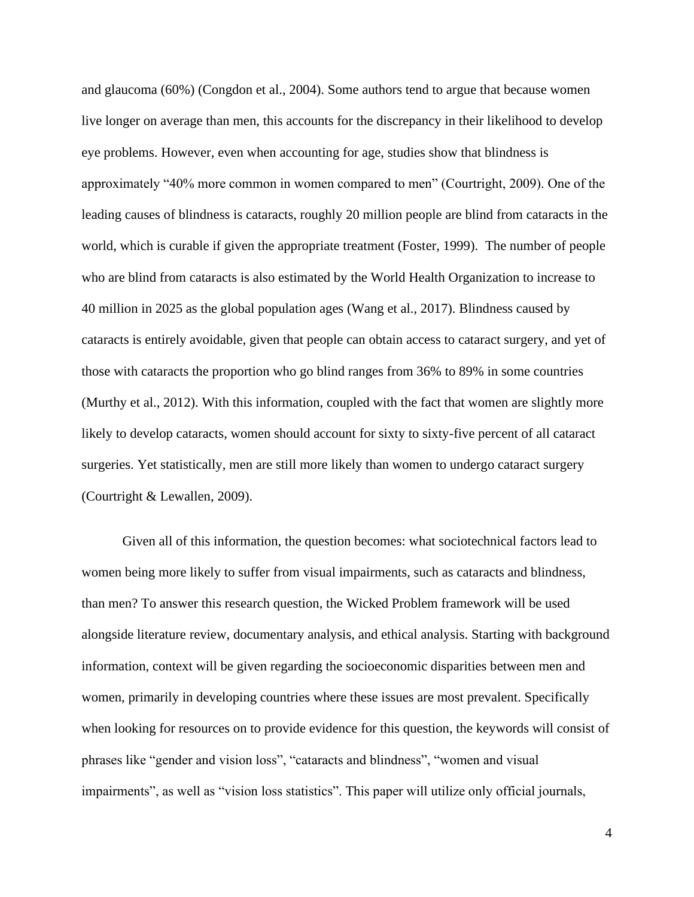and glaucoma (60%) (Congdon et al., 2004). Some authors tend to argue that because women live longer on average than men, this accounts for the discrepancy in their likelihood to develop eye problems. However, even when accounting for age, studies show that blindness is approximately "40% more common in women compared to men" (Courtright, 2009). One of the leading causes of blindness is cataracts, roughly 20 million people are blind from cataracts in the world, which is curable if given the appropriate treatment (Foster, 1999). The number of people who are blind from cataracts is also estimated by the World Health Organization to increase to 40 million in 2025 as the global population ages (Wang et al., 2017). Blindness caused by cataracts is entirely avoidable, given that people can obtain access to cataract surgery, and yet of those with cataracts the proportion who go blind ranges from 36% to 89% in some countries (Murthy et al., 2012). With this information, coupled with the fact that women are slightly more likely to develop cataracts, women should account for sixty to sixty-five percent of all cataract surgeries. Yet statistically, men are still more likely than women to undergo cataract surgery (Courtright & Lewallen, 2009).

Given all of this information, the question becomes: what sociotechnical factors lead to women being more likely to suffer from visual impairments, such as cataracts and blindness, than men? To answer this research question, the Wicked Problem framework will be used alongside literature review, documentary analysis, and ethical analysis. Starting with background information, context will be given regarding the socioeconomic disparities between men and women, primarily in developing countries where these issues are most prevalent. Specifically when looking for resources on to provide evidence for this question, the keywords will consist of phrases like "gender and vision loss", "cataracts and blindness", "women and visual impairments", as well as "vision loss statistics". This paper will utilize only official journals,

4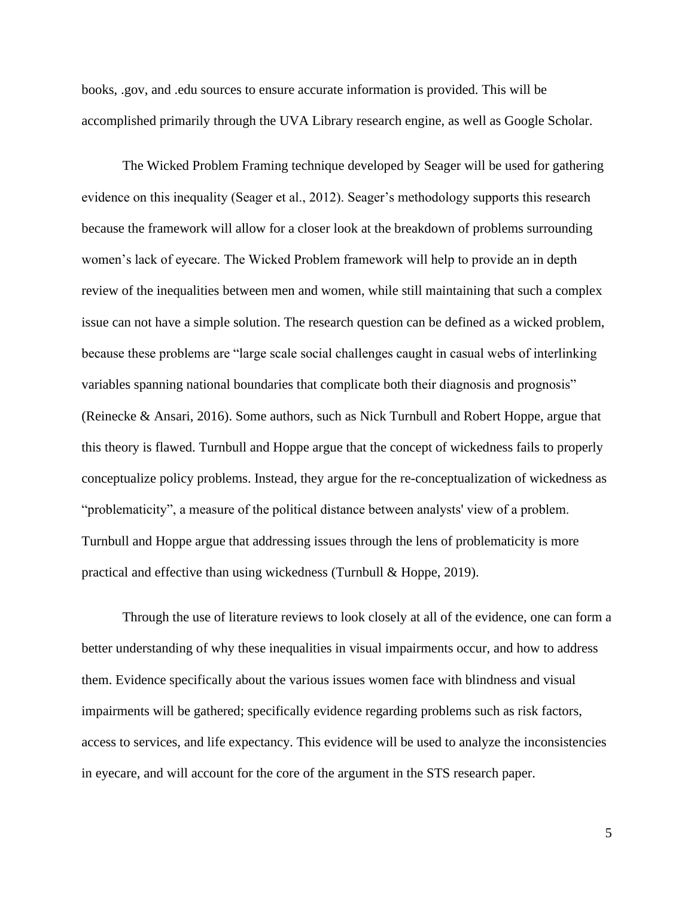books, .gov, and .edu sources to ensure accurate information is provided. This will be accomplished primarily through the UVA Library research engine, as well as Google Scholar.

The Wicked Problem Framing technique developed by Seager will be used for gathering evidence on this inequality (Seager et al., 2012). Seager's methodology supports this research because the framework will allow for a closer look at the breakdown of problems surrounding women's lack of eyecare. The Wicked Problem framework will help to provide an in depth review of the inequalities between men and women, while still maintaining that such a complex issue can not have a simple solution. The research question can be defined as a wicked problem, because these problems are "large scale social challenges caught in casual webs of interlinking variables spanning national boundaries that complicate both their diagnosis and prognosis" (Reinecke & Ansari, 2016). Some authors, such as Nick Turnbull and Robert Hoppe, argue that this theory is flawed. Turnbull and Hoppe argue that the concept of wickedness fails to properly conceptualize policy problems. Instead, they argue for the re-conceptualization of wickedness as "problematicity", a measure of the political distance between analysts' view of a problem. Turnbull and Hoppe argue that addressing issues through the lens of problematicity is more practical and effective than using wickedness (Turnbull & Hoppe, 2019).

Through the use of literature reviews to look closely at all of the evidence, one can form a better understanding of why these inequalities in visual impairments occur, and how to address them. Evidence specifically about the various issues women face with blindness and visual impairments will be gathered; specifically evidence regarding problems such as risk factors, access to services, and life expectancy. This evidence will be used to analyze the inconsistencies in eyecare, and will account for the core of the argument in the STS research paper.

5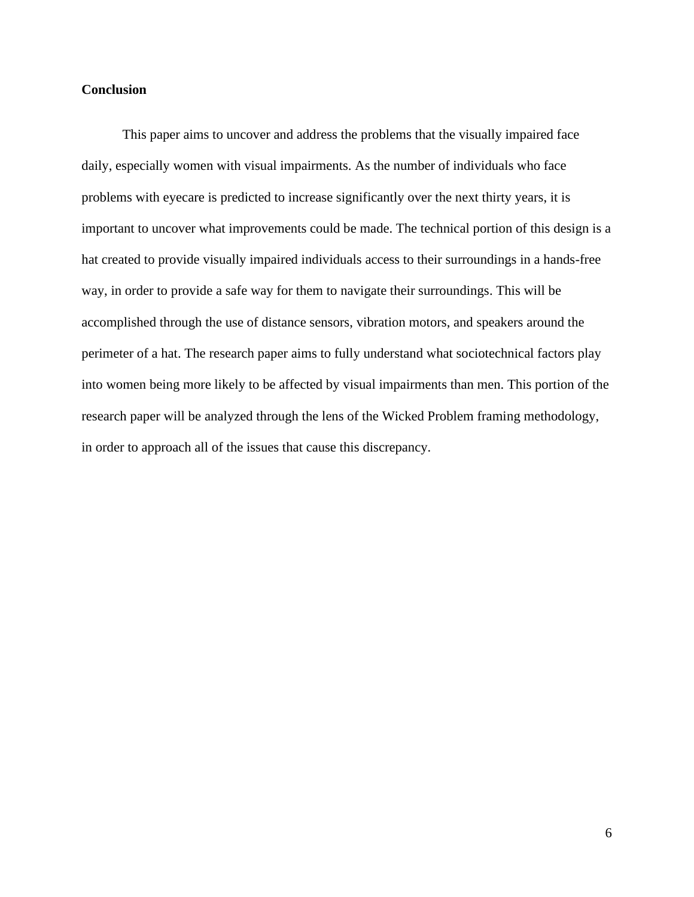# **Conclusion**

This paper aims to uncover and address the problems that the visually impaired face daily, especially women with visual impairments. As the number of individuals who face problems with eyecare is predicted to increase significantly over the next thirty years, it is important to uncover what improvements could be made. The technical portion of this design is a hat created to provide visually impaired individuals access to their surroundings in a hands-free way, in order to provide a safe way for them to navigate their surroundings. This will be accomplished through the use of distance sensors, vibration motors, and speakers around the perimeter of a hat. The research paper aims to fully understand what sociotechnical factors play into women being more likely to be affected by visual impairments than men. This portion of the research paper will be analyzed through the lens of the Wicked Problem framing methodology, in order to approach all of the issues that cause this discrepancy.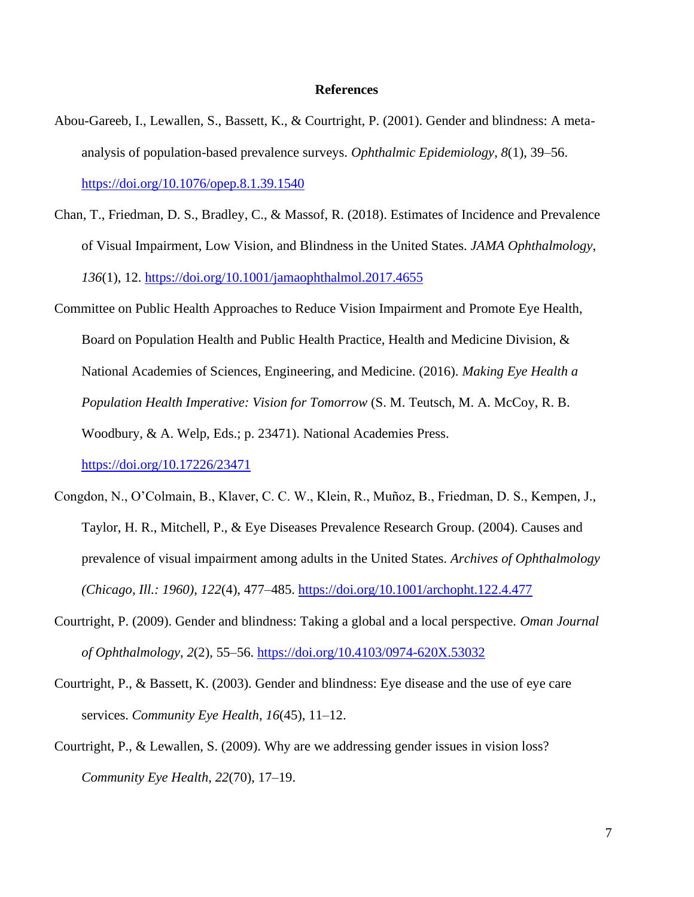### **References**

- Abou-Gareeb, I., Lewallen, S., Bassett, K., & Courtright, P. (2001). Gender and blindness: A metaanalysis of population-based prevalence surveys. *Ophthalmic Epidemiology*, *8*(1), 39–56. <https://doi.org/10.1076/opep.8.1.39.1540>
- Chan, T., Friedman, D. S., Bradley, C., & Massof, R. (2018). Estimates of Incidence and Prevalence of Visual Impairment, Low Vision, and Blindness in the United States. *JAMA Ophthalmology*, *136*(1), 12.<https://doi.org/10.1001/jamaophthalmol.2017.4655>
- Committee on Public Health Approaches to Reduce Vision Impairment and Promote Eye Health, Board on Population Health and Public Health Practice, Health and Medicine Division, & National Academies of Sciences, Engineering, and Medicine. (2016). *Making Eye Health a Population Health Imperative: Vision for Tomorrow* (S. M. Teutsch, M. A. McCoy, R. B. Woodbury, & A. Welp, Eds.; p. 23471). National Academies Press. <https://doi.org/10.17226/23471>
- Congdon, N., O'Colmain, B., Klaver, C. C. W., Klein, R., Muñoz, B., Friedman, D. S., Kempen, J., Taylor, H. R., Mitchell, P., & Eye Diseases Prevalence Research Group. (2004). Causes and prevalence of visual impairment among adults in the United States. *Archives of Ophthalmology (Chicago, Ill.: 1960)*, *122*(4), 477–485.<https://doi.org/10.1001/archopht.122.4.477>
- Courtright, P. (2009). Gender and blindness: Taking a global and a local perspective. *Oman Journal of Ophthalmology*, *2*(2), 55–56.<https://doi.org/10.4103/0974-620X.53032>
- Courtright, P., & Bassett, K. (2003). Gender and blindness: Eye disease and the use of eye care services. *Community Eye Health*, *16*(45), 11–12.
- Courtright, P., & Lewallen, S. (2009). Why are we addressing gender issues in vision loss? *Community Eye Health*, *22*(70), 17–19.